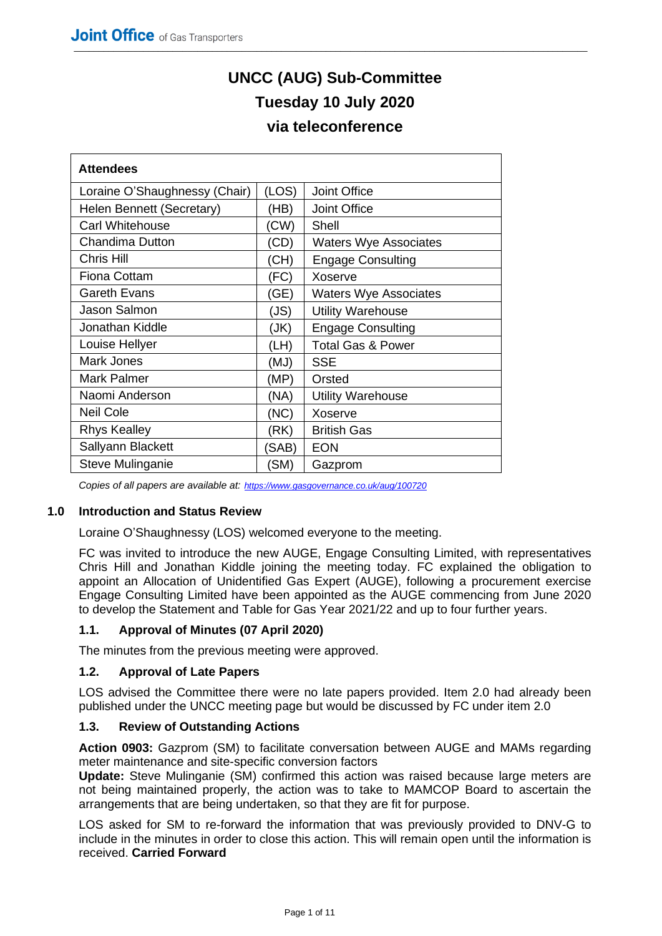# **UNCC (AUG) Sub-Committee Tuesday 10 July 2020 via teleconference**

| <b>Attendees</b>              |       |                              |  |  |  |
|-------------------------------|-------|------------------------------|--|--|--|
| Loraine O'Shaughnessy (Chair) | (LOS) | Joint Office                 |  |  |  |
| Helen Bennett (Secretary)     | (HB)  | <b>Joint Office</b>          |  |  |  |
| <b>Carl Whitehouse</b>        | (CW)  | Shell                        |  |  |  |
| <b>Chandima Dutton</b>        | (CD)  | <b>Waters Wye Associates</b> |  |  |  |
| Chris Hill                    | (CH)  | <b>Engage Consulting</b>     |  |  |  |
| <b>Fiona Cottam</b>           | (FC)  | Xoserve                      |  |  |  |
| <b>Gareth Evans</b>           | (GE)  | <b>Waters Wye Associates</b> |  |  |  |
| Jason Salmon                  | (JS)  | <b>Utility Warehouse</b>     |  |  |  |
| Jonathan Kiddle               | (JK)  | <b>Engage Consulting</b>     |  |  |  |
| Louise Hellyer                | (LH)  | <b>Total Gas &amp; Power</b> |  |  |  |
| Mark Jones                    | (MJ)  | <b>SSE</b>                   |  |  |  |
| <b>Mark Palmer</b>            | (MP)  | Orsted                       |  |  |  |
| Naomi Anderson                | (NA)  | <b>Utility Warehouse</b>     |  |  |  |
| <b>Neil Cole</b>              | (NC)  | Xoserve                      |  |  |  |
| <b>Rhys Kealley</b>           | (RK)  | <b>British Gas</b>           |  |  |  |
| Sallyann Blackett             | (SAB) | <b>EON</b>                   |  |  |  |
| Steve Mulinganie              | (SM)  | Gazprom                      |  |  |  |

*Copies of all papers are available at: <https://www.gasgovernance.co.uk/aug/100720>*

# **1.0 Introduction and Status Review**

Loraine O'Shaughnessy (LOS) welcomed everyone to the meeting.

FC was invited to introduce the new AUGE, Engage Consulting Limited, with representatives Chris Hill and Jonathan Kiddle joining the meeting today. FC explained the obligation to appoint an Allocation of Unidentified Gas Expert (AUGE), following a procurement exercise Engage Consulting Limited have been appointed as the AUGE commencing from June 2020 to develop the Statement and Table for Gas Year 2021/22 and up to four further years.

# **1.1. Approval of Minutes (07 April 2020)**

The minutes from the previous meeting were approved.

#### **1.2. Approval of Late Papers**

LOS advised the Committee there were no late papers provided. Item 2.0 had already been published under the UNCC meeting page but would be discussed by FC under item 2.0

#### **1.3. Review of Outstanding Actions**

**Action 0903:** Gazprom (SM) to facilitate conversation between AUGE and MAMs regarding meter maintenance and site-specific conversion factors

**Update:** Steve Mulinganie (SM) confirmed this action was raised because large meters are not being maintained properly, the action was to take to MAMCOP Board to ascertain the arrangements that are being undertaken, so that they are fit for purpose.

LOS asked for SM to re-forward the information that was previously provided to DNV-G to include in the minutes in order to close this action. This will remain open until the information is received. **Carried Forward**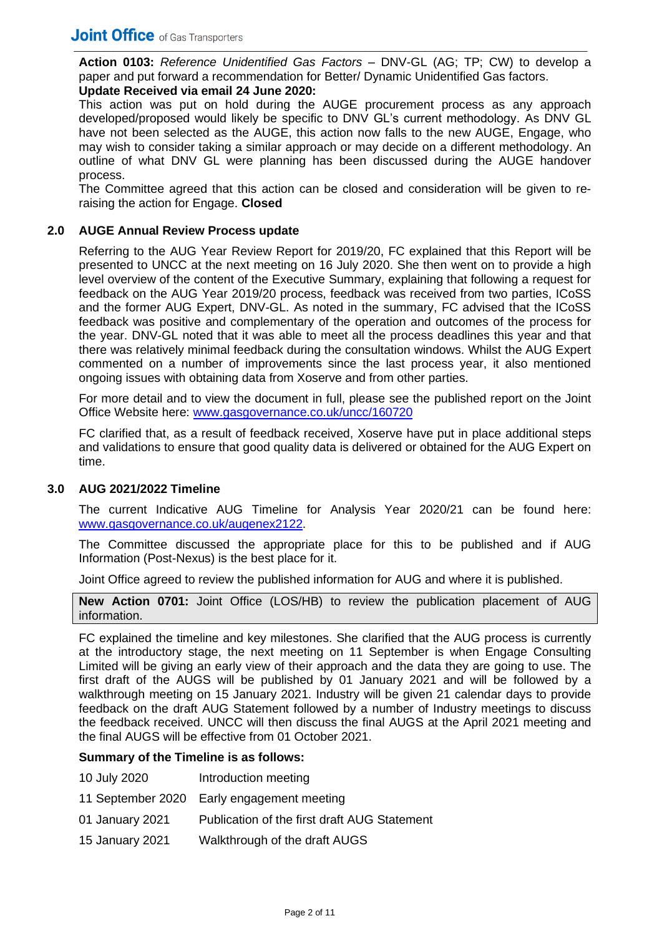**Action 0103:** *Reference Unidentified Gas Factors –* DNV-GL (AG; TP; CW) to develop a paper and put forward a recommendation for Better/ Dynamic Unidentified Gas factors.

# **Update Received via email 24 June 2020:**

This action was put on hold during the AUGE procurement process as any approach developed/proposed would likely be specific to DNV GL's current methodology. As DNV GL have not been selected as the AUGE, this action now falls to the new AUGE, Engage, who may wish to consider taking a similar approach or may decide on a different methodology. An outline of what DNV GL were planning has been discussed during the AUGE handover process.

The Committee agreed that this action can be closed and consideration will be given to reraising the action for Engage. **Closed**

# **2.0 AUGE Annual Review Process update**

Referring to the AUG Year Review Report for 2019/20, FC explained that this Report will be presented to UNCC at the next meeting on 16 July 2020. She then went on to provide a high level overview of the content of the Executive Summary, explaining that following a request for feedback on the AUG Year 2019/20 process, feedback was received from two parties, ICoSS and the former AUG Expert, DNV-GL. As noted in the summary, FC advised that the ICoSS feedback was positive and complementary of the operation and outcomes of the process for the year. DNV-GL noted that it was able to meet all the process deadlines this year and that there was relatively minimal feedback during the consultation windows. Whilst the AUG Expert commented on a number of improvements since the last process year, it also mentioned ongoing issues with obtaining data from Xoserve and from other parties.

For more detail and to view the document in full, please see the published report on the Joint Office Website here: [www.gasgovernance.co.uk/uncc/160720](https://www.gasgovernance.co.uk/uncc/160720)

FC clarified that, as a result of feedback received, Xoserve have put in place additional steps and validations to ensure that good quality data is delivered or obtained for the AUG Expert on time.

# **3.0 AUG 2021/2022 Timeline**

The current Indicative AUG Timeline for Analysis Year 2020/21 can be found here: [www.gasgovernance.co.uk/augenex2122.](https://www.gasgovernance.co.uk/augenex2122)

The Committee discussed the appropriate place for this to be published and if AUG Information (Post-Nexus) is the best place for it.

Joint Office agreed to review the published information for AUG and where it is published.

**New Action 0701:** Joint Office (LOS/HB) to review the publication placement of AUG information.

FC explained the timeline and key milestones. She clarified that the AUG process is currently at the introductory stage, the next meeting on 11 September is when Engage Consulting Limited will be giving an early view of their approach and the data they are going to use. The first draft of the AUGS will be published by 01 January 2021 and will be followed by a walkthrough meeting on 15 January 2021. Industry will be given 21 calendar days to provide feedback on the draft AUG Statement followed by a number of Industry meetings to discuss the feedback received. UNCC will then discuss the final AUGS at the April 2021 meeting and the final AUGS will be effective from 01 October 2021.

# **Summary of the Timeline is as follows:**

- 10 July 2020 Introduction meeting
- 11 September 2020 Early engagement meeting
- 01 January 2021 Publication of the first draft AUG Statement
- 15 January 2021 Walkthrough of the draft AUGS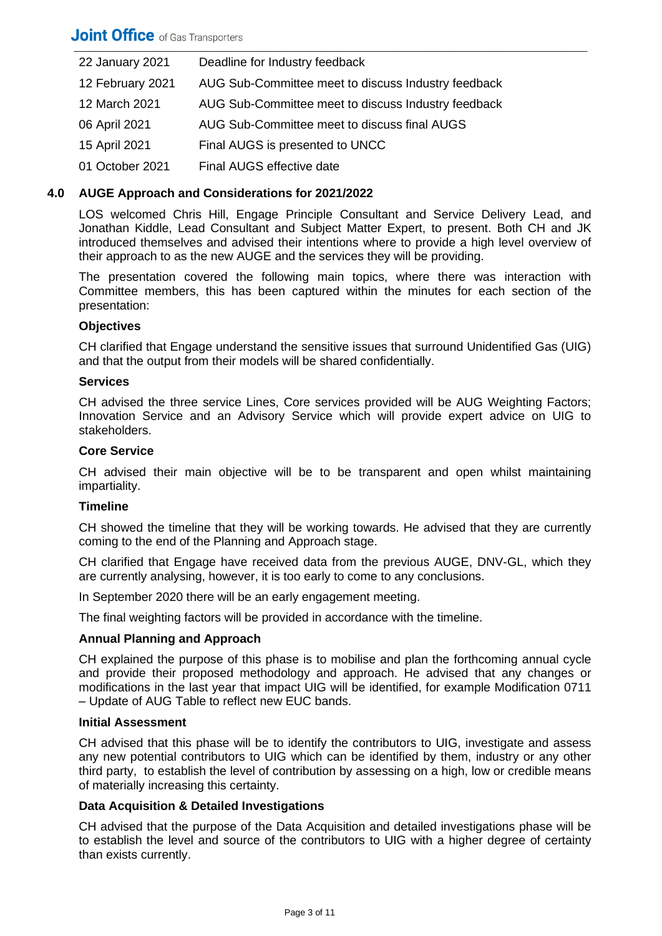| 22 January 2021  | Deadline for Industry feedback                      |
|------------------|-----------------------------------------------------|
| 12 February 2021 | AUG Sub-Committee meet to discuss Industry feedback |
| 12 March 2021    | AUG Sub-Committee meet to discuss Industry feedback |
| 06 April 2021    | AUG Sub-Committee meet to discuss final AUGS        |
| 15 April 2021    | Final AUGS is presented to UNCC                     |
| 01 October 2021  | Final AUGS effective date                           |

# **4.0 AUGE Approach and Considerations for 2021/2022**

LOS welcomed Chris Hill, Engage Principle Consultant and Service Delivery Lead, and Jonathan Kiddle, Lead Consultant and Subject Matter Expert, to present. Both CH and JK introduced themselves and advised their intentions where to provide a high level overview of their approach to as the new AUGE and the services they will be providing.

The presentation covered the following main topics, where there was interaction with Committee members, this has been captured within the minutes for each section of the presentation:

## **Objectives**

CH clarified that Engage understand the sensitive issues that surround Unidentified Gas (UIG) and that the output from their models will be shared confidentially.

#### **Services**

CH advised the three service Lines, Core services provided will be AUG Weighting Factors; Innovation Service and an Advisory Service which will provide expert advice on UIG to stakeholders.

## **Core Service**

CH advised their main objective will be to be transparent and open whilst maintaining impartiality.

# **Timeline**

CH showed the timeline that they will be working towards. He advised that they are currently coming to the end of the Planning and Approach stage.

CH clarified that Engage have received data from the previous AUGE, DNV-GL, which they are currently analysing, however, it is too early to come to any conclusions.

In September 2020 there will be an early engagement meeting.

The final weighting factors will be provided in accordance with the timeline.

# **Annual Planning and Approach**

CH explained the purpose of this phase is to mobilise and plan the forthcoming annual cycle and provide their proposed methodology and approach. He advised that any changes or modifications in the last year that impact UIG will be identified, for example Modification 0711 – Update of AUG Table to reflect new EUC bands.

#### **Initial Assessment**

CH advised that this phase will be to identify the contributors to UIG, investigate and assess any new potential contributors to UIG which can be identified by them, industry or any other third party, to establish the level of contribution by assessing on a high, low or credible means of materially increasing this certainty.

# **Data Acquisition & Detailed Investigations**

CH advised that the purpose of the Data Acquisition and detailed investigations phase will be to establish the level and source of the contributors to UIG with a higher degree of certainty than exists currently.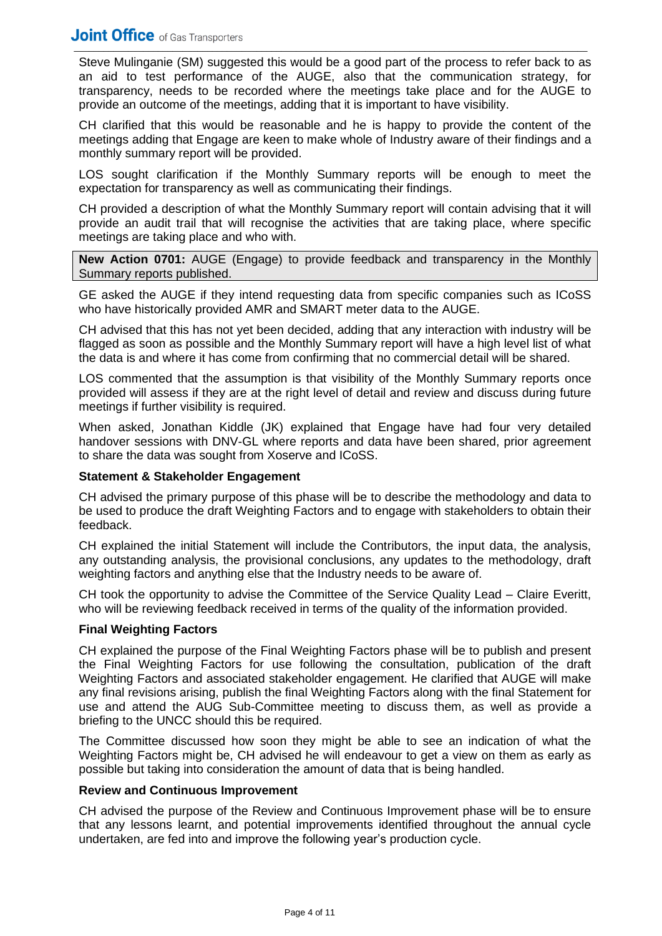Steve Mulinganie (SM) suggested this would be a good part of the process to refer back to as an aid to test performance of the AUGE, also that the communication strategy, for transparency, needs to be recorded where the meetings take place and for the AUGE to provide an outcome of the meetings, adding that it is important to have visibility.

CH clarified that this would be reasonable and he is happy to provide the content of the meetings adding that Engage are keen to make whole of Industry aware of their findings and a monthly summary report will be provided.

LOS sought clarification if the Monthly Summary reports will be enough to meet the expectation for transparency as well as communicating their findings.

CH provided a description of what the Monthly Summary report will contain advising that it will provide an audit trail that will recognise the activities that are taking place, where specific meetings are taking place and who with.

**New Action 0701:** AUGE (Engage) to provide feedback and transparency in the Monthly Summary reports published.

GE asked the AUGE if they intend requesting data from specific companies such as ICoSS who have historically provided AMR and SMART meter data to the AUGE.

CH advised that this has not yet been decided, adding that any interaction with industry will be flagged as soon as possible and the Monthly Summary report will have a high level list of what the data is and where it has come from confirming that no commercial detail will be shared.

LOS commented that the assumption is that visibility of the Monthly Summary reports once provided will assess if they are at the right level of detail and review and discuss during future meetings if further visibility is required.

When asked, Jonathan Kiddle (JK) explained that Engage have had four very detailed handover sessions with DNV-GL where reports and data have been shared, prior agreement to share the data was sought from Xoserve and ICoSS.

# **Statement & Stakeholder Engagement**

CH advised the primary purpose of this phase will be to describe the methodology and data to be used to produce the draft Weighting Factors and to engage with stakeholders to obtain their feedback.

CH explained the initial Statement will include the Contributors, the input data, the analysis, any outstanding analysis, the provisional conclusions, any updates to the methodology, draft weighting factors and anything else that the Industry needs to be aware of.

CH took the opportunity to advise the Committee of the Service Quality Lead – Claire Everitt, who will be reviewing feedback received in terms of the quality of the information provided.

# **Final Weighting Factors**

CH explained the purpose of the Final Weighting Factors phase will be to publish and present the Final Weighting Factors for use following the consultation, publication of the draft Weighting Factors and associated stakeholder engagement. He clarified that AUGE will make any final revisions arising, publish the final Weighting Factors along with the final Statement for use and attend the AUG Sub-Committee meeting to discuss them, as well as provide a briefing to the UNCC should this be required.

The Committee discussed how soon they might be able to see an indication of what the Weighting Factors might be, CH advised he will endeavour to get a view on them as early as possible but taking into consideration the amount of data that is being handled.

# **Review and Continuous Improvement**

CH advised the purpose of the Review and Continuous Improvement phase will be to ensure that any lessons learnt, and potential improvements identified throughout the annual cycle undertaken, are fed into and improve the following year's production cycle.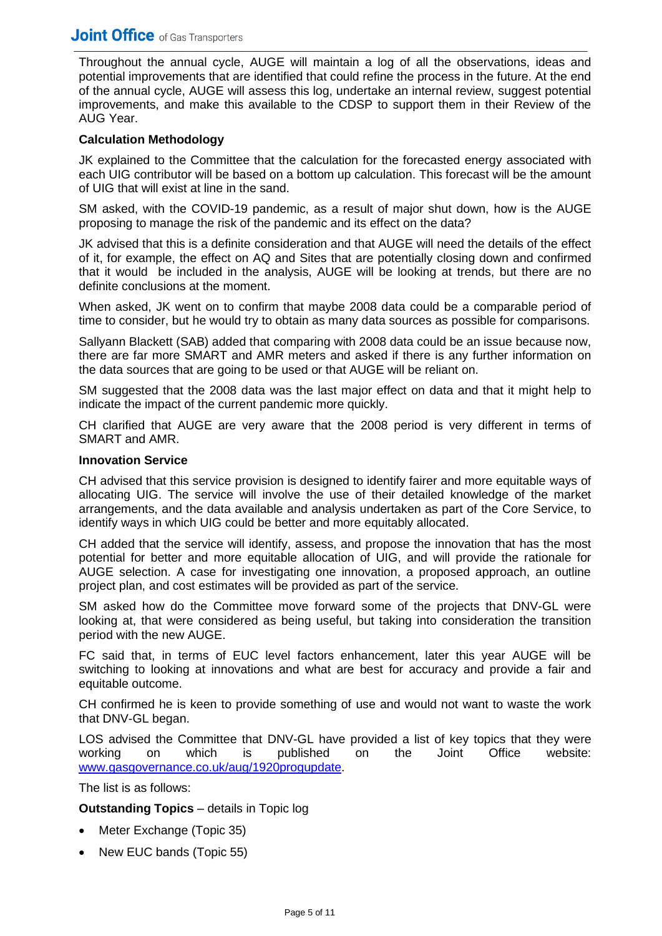# \_\_\_\_\_\_\_\_\_\_\_\_\_\_\_\_\_\_\_\_\_\_\_\_\_\_\_\_\_\_\_\_\_\_\_\_\_\_\_\_\_\_\_\_\_\_\_\_\_\_\_\_\_\_\_\_\_\_\_\_\_\_\_\_\_\_\_\_\_\_\_\_\_\_\_\_\_\_\_\_\_\_\_\_\_\_\_\_\_\_\_\_\_\_\_\_\_\_\_\_\_\_\_\_

Throughout the annual cycle, AUGE will maintain a log of all the observations, ideas and potential improvements that are identified that could refine the process in the future. At the end of the annual cycle, AUGE will assess this log, undertake an internal review, suggest potential improvements, and make this available to the CDSP to support them in their Review of the AUG Year.

# **Calculation Methodology**

JK explained to the Committee that the calculation for the forecasted energy associated with each UIG contributor will be based on a bottom up calculation. This forecast will be the amount of UIG that will exist at line in the sand.

SM asked, with the COVID-19 pandemic, as a result of major shut down, how is the AUGE proposing to manage the risk of the pandemic and its effect on the data?

JK advised that this is a definite consideration and that AUGE will need the details of the effect of it, for example, the effect on AQ and Sites that are potentially closing down and confirmed that it would be included in the analysis, AUGE will be looking at trends, but there are no definite conclusions at the moment.

When asked, JK went on to confirm that maybe 2008 data could be a comparable period of time to consider, but he would try to obtain as many data sources as possible for comparisons.

Sallyann Blackett (SAB) added that comparing with 2008 data could be an issue because now, there are far more SMART and AMR meters and asked if there is any further information on the data sources that are going to be used or that AUGE will be reliant on.

SM suggested that the 2008 data was the last major effect on data and that it might help to indicate the impact of the current pandemic more quickly.

CH clarified that AUGE are very aware that the 2008 period is very different in terms of SMART and AMR.

#### **Innovation Service**

CH advised that this service provision is designed to identify fairer and more equitable ways of allocating UIG. The service will involve the use of their detailed knowledge of the market arrangements, and the data available and analysis undertaken as part of the Core Service, to identify ways in which UIG could be better and more equitably allocated.

CH added that the service will identify, assess, and propose the innovation that has the most potential for better and more equitable allocation of UIG, and will provide the rationale for AUGE selection. A case for investigating one innovation, a proposed approach, an outline project plan, and cost estimates will be provided as part of the service.

SM asked how do the Committee move forward some of the projects that DNV-GL were looking at, that were considered as being useful, but taking into consideration the transition period with the new AUGE.

FC said that, in terms of EUC level factors enhancement, later this year AUGE will be switching to looking at innovations and what are best for accuracy and provide a fair and equitable outcome.

CH confirmed he is keen to provide something of use and would not want to waste the work that DNV-GL began.

LOS advised the Committee that DNV-GL have provided a list of key topics that they were working on which is published on the Joint Office website: [www.gasgovernance.co.uk/aug/1920progupdate.](https://www.gasgovernance.co.uk/aug/1920progupdate)

The list is as follows:

#### **Outstanding Topics** – details in Topic log

- Meter Exchange (Topic 35)
- New EUC bands (Topic 55)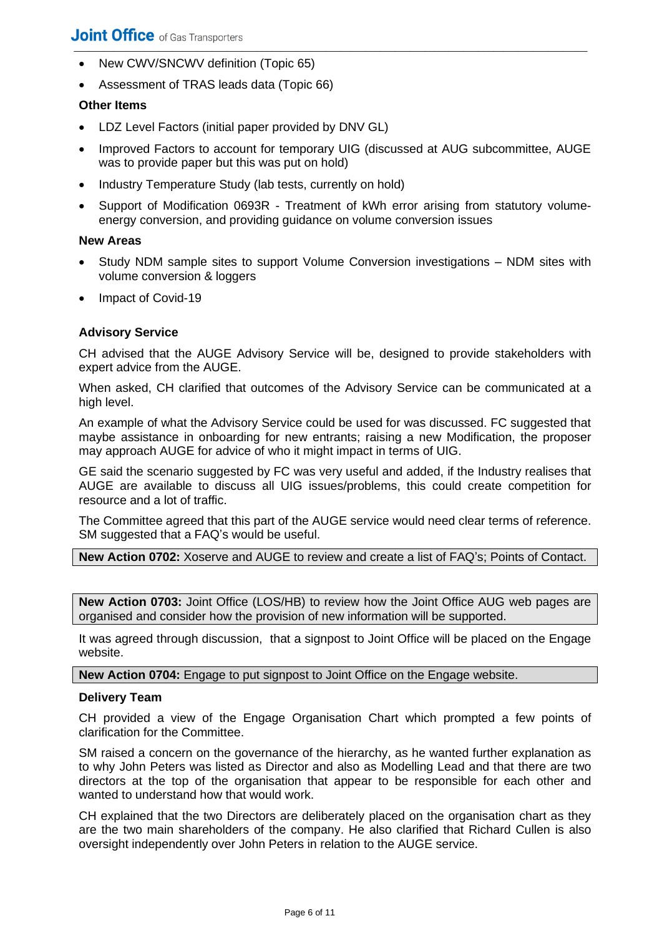- New CWV/SNCWV definition (Topic 65)
- Assessment of TRAS leads data (Topic 66)

# **Other Items**

- LDZ Level Factors (initial paper provided by DNV GL)
- Improved Factors to account for temporary UIG (discussed at AUG subcommittee, AUGE was to provide paper but this was put on hold)
- Industry Temperature Study (lab tests, currently on hold)
- Support of Modification 0693R Treatment of kWh error arising from statutory volumeenergy conversion, and providing guidance on volume conversion issues

## **New Areas**

- Study NDM sample sites to support Volume Conversion investigations NDM sites with volume conversion & loggers
- Impact of Covid-19

# **Advisory Service**

CH advised that the AUGE Advisory Service will be, designed to provide stakeholders with expert advice from the AUGE.

When asked, CH clarified that outcomes of the Advisory Service can be communicated at a high level.

An example of what the Advisory Service could be used for was discussed. FC suggested that maybe assistance in onboarding for new entrants; raising a new Modification, the proposer may approach AUGE for advice of who it might impact in terms of UIG.

GE said the scenario suggested by FC was very useful and added, if the Industry realises that AUGE are available to discuss all UIG issues/problems, this could create competition for resource and a lot of traffic.

The Committee agreed that this part of the AUGE service would need clear terms of reference. SM suggested that a FAQ's would be useful.

**New Action 0702:** Xoserve and AUGE to review and create a list of FAQ's; Points of Contact.

**New Action 0703:** Joint Office (LOS/HB) to review how the Joint Office AUG web pages are organised and consider how the provision of new information will be supported.

It was agreed through discussion, that a signpost to Joint Office will be placed on the Engage website.

**New Action 0704:** Engage to put signpost to Joint Office on the Engage website.

#### **Delivery Team**

CH provided a view of the Engage Organisation Chart which prompted a few points of clarification for the Committee.

SM raised a concern on the governance of the hierarchy, as he wanted further explanation as to why John Peters was listed as Director and also as Modelling Lead and that there are two directors at the top of the organisation that appear to be responsible for each other and wanted to understand how that would work.

CH explained that the two Directors are deliberately placed on the organisation chart as they are the two main shareholders of the company. He also clarified that Richard Cullen is also oversight independently over John Peters in relation to the AUGE service.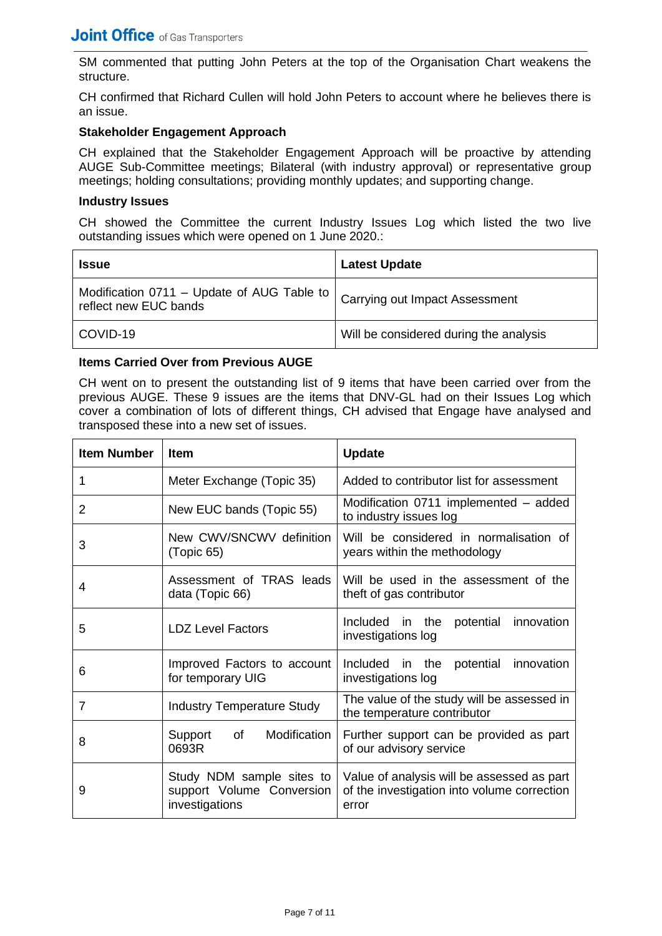SM commented that putting John Peters at the top of the Organisation Chart weakens the structure.

CH confirmed that Richard Cullen will hold John Peters to account where he believes there is an issue.

# **Stakeholder Engagement Approach**

CH explained that the Stakeholder Engagement Approach will be proactive by attending AUGE Sub-Committee meetings; Bilateral (with industry approval) or representative group meetings; holding consultations; providing monthly updates; and supporting change.

#### **Industry Issues**

CH showed the Committee the current Industry Issues Log which listed the two live outstanding issues which were opened on 1 June 2020.:

| <b>Issue</b>                                                        | <b>Latest Update</b>                   |
|---------------------------------------------------------------------|----------------------------------------|
| Modification 0711 - Update of AUG Table to<br>reflect new EUC bands | <b>Carrying out Impact Assessment</b>  |
| COVID-19                                                            | Will be considered during the analysis |

# **Items Carried Over from Previous AUGE**

CH went on to present the outstanding list of 9 items that have been carried over from the previous AUGE. These 9 issues are the items that DNV-GL had on their Issues Log which cover a combination of lots of different things, CH advised that Engage have analysed and transposed these into a new set of issues.

| <b>Item Number</b> | <b>Item</b>                                                              | <b>Update</b>                                                                                      |  |  |
|--------------------|--------------------------------------------------------------------------|----------------------------------------------------------------------------------------------------|--|--|
| 1                  | Meter Exchange (Topic 35)                                                | Added to contributor list for assessment                                                           |  |  |
| 2                  | New EUC bands (Topic 55)                                                 | Modification 0711 implemented - added<br>to industry issues log                                    |  |  |
| 3                  | New CWV/SNCWV definition<br>(Topic 65)                                   | Will be considered in normalisation of<br>years within the methodology                             |  |  |
| 4                  | Assessment of TRAS leads<br>data (Topic 66)                              | Will be used in the assessment of the<br>theft of gas contributor                                  |  |  |
| 5                  | <b>LDZ Level Factors</b>                                                 | Included<br>the<br>potential<br>innovation<br>in<br>investigations log                             |  |  |
| 6                  | Improved Factors to account<br>for temporary UIG                         | Included in<br>the<br>potential<br>innovation<br>investigations log                                |  |  |
| 7                  | <b>Industry Temperature Study</b>                                        | The value of the study will be assessed in<br>the temperature contributor                          |  |  |
| 8                  | Modification<br>of<br>Support<br>0693R                                   | Further support can be provided as part<br>of our advisory service                                 |  |  |
| 9                  | Study NDM sample sites to<br>support Volume Conversion<br>investigations | Value of analysis will be assessed as part<br>of the investigation into volume correction<br>error |  |  |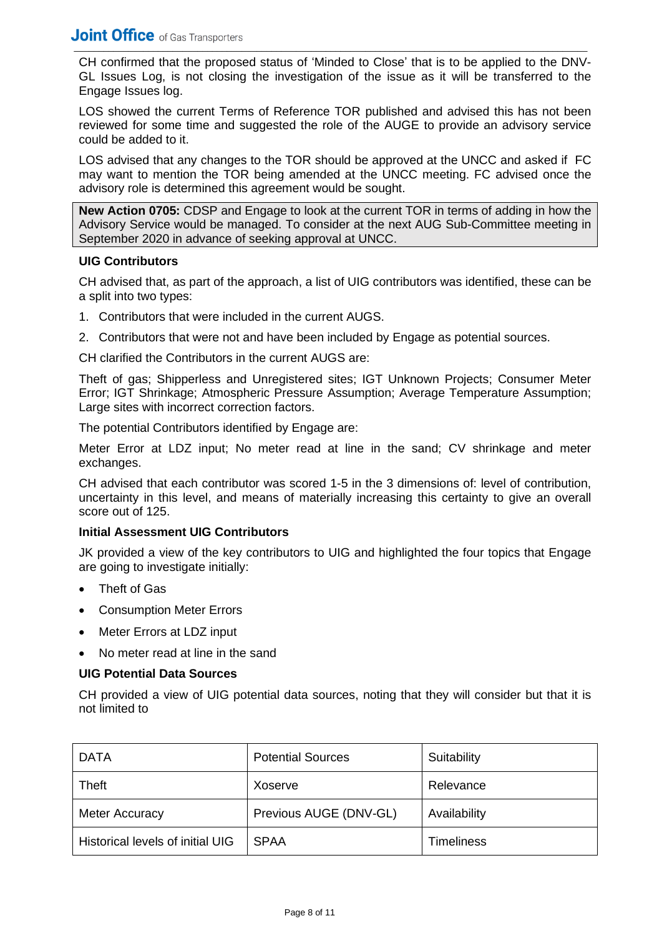CH confirmed that the proposed status of 'Minded to Close' that is to be applied to the DNV-GL Issues Log, is not closing the investigation of the issue as it will be transferred to the Engage Issues log.

LOS showed the current Terms of Reference TOR published and advised this has not been reviewed for some time and suggested the role of the AUGE to provide an advisory service could be added to it.

LOS advised that any changes to the TOR should be approved at the UNCC and asked if FC may want to mention the TOR being amended at the UNCC meeting. FC advised once the advisory role is determined this agreement would be sought.

**New Action 0705:** CDSP and Engage to look at the current TOR in terms of adding in how the Advisory Service would be managed. To consider at the next AUG Sub-Committee meeting in September 2020 in advance of seeking approval at UNCC.

## **UIG Contributors**

CH advised that, as part of the approach, a list of UIG contributors was identified, these can be a split into two types:

- 1. Contributors that were included in the current AUGS.
- 2. Contributors that were not and have been included by Engage as potential sources.

CH clarified the Contributors in the current AUGS are:

Theft of gas; Shipperless and Unregistered sites; IGT Unknown Projects; Consumer Meter Error; IGT Shrinkage; Atmospheric Pressure Assumption; Average Temperature Assumption; Large sites with incorrect correction factors.

The potential Contributors identified by Engage are:

Meter Error at LDZ input; No meter read at line in the sand; CV shrinkage and meter exchanges.

CH advised that each contributor was scored 1-5 in the 3 dimensions of: level of contribution, uncertainty in this level, and means of materially increasing this certainty to give an overall score out of 125.

# **Initial Assessment UIG Contributors**

JK provided a view of the key contributors to UIG and highlighted the four topics that Engage are going to investigate initially:

- Theft of Gas
- Consumption Meter Errors
- Meter Errors at LDZ input
- No meter read at line in the sand

#### **UIG Potential Data Sources**

CH provided a view of UIG potential data sources, noting that they will consider but that it is not limited to

| <b>DATA</b>                      | <b>Potential Sources</b> | Suitability       |
|----------------------------------|--------------------------|-------------------|
| Theft                            | Xoserve                  | Relevance         |
| Meter Accuracy                   | Previous AUGE (DNV-GL)   | Availability      |
| Historical levels of initial UIG | <b>SPAA</b>              | <b>Timeliness</b> |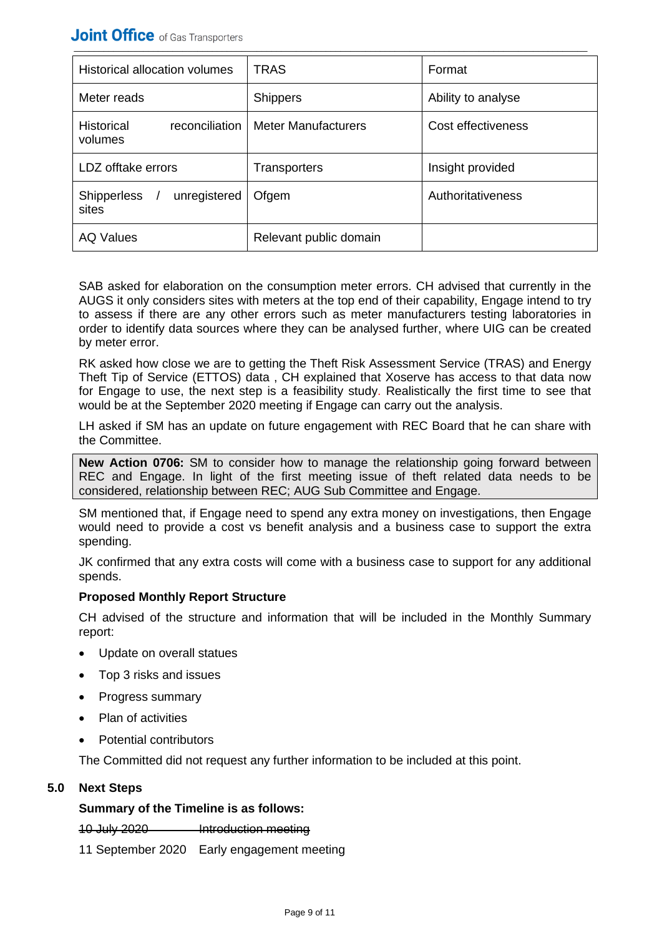| Historical allocation volumes                  | <b>TRAS</b>            | Format             |
|------------------------------------------------|------------------------|--------------------|
| Meter reads                                    | <b>Shippers</b>        | Ability to analyse |
| <b>Historical</b><br>reconciliation<br>volumes | Meter Manufacturers    | Cost effectiveness |
| LDZ offtake errors                             | <b>Transporters</b>    | Insight provided   |
| unregistered<br><b>Shipperless</b><br>sites    | Ofgem                  | Authoritativeness  |
| <b>AQ Values</b>                               | Relevant public domain |                    |

SAB asked for elaboration on the consumption meter errors. CH advised that currently in the AUGS it only considers sites with meters at the top end of their capability, Engage intend to try to assess if there are any other errors such as meter manufacturers testing laboratories in order to identify data sources where they can be analysed further, where UIG can be created by meter error.

RK asked how close we are to getting the Theft Risk Assessment Service (TRAS) and Energy Theft Tip of Service (ETTOS) data , CH explained that Xoserve has access to that data now for Engage to use, the next step is a feasibility study. Realistically the first time to see that would be at the September 2020 meeting if Engage can carry out the analysis.

LH asked if SM has an update on future engagement with REC Board that he can share with the Committee.

**New Action 0706:** SM to consider how to manage the relationship going forward between REC and Engage. In light of the first meeting issue of theft related data needs to be considered, relationship between REC; AUG Sub Committee and Engage.

SM mentioned that, if Engage need to spend any extra money on investigations, then Engage would need to provide a cost vs benefit analysis and a business case to support the extra spending.

JK confirmed that any extra costs will come with a business case to support for any additional spends.

# **Proposed Monthly Report Structure**

CH advised of the structure and information that will be included in the Monthly Summary report:

- Update on overall statues
- Top 3 risks and issues
- Progress summary
- Plan of activities
- Potential contributors

The Committed did not request any further information to be included at this point.

# **5.0 Next Steps**

# **Summary of the Timeline is as follows:**

#### 10 July 2020 Introduction meeting

11 September 2020 Early engagement meeting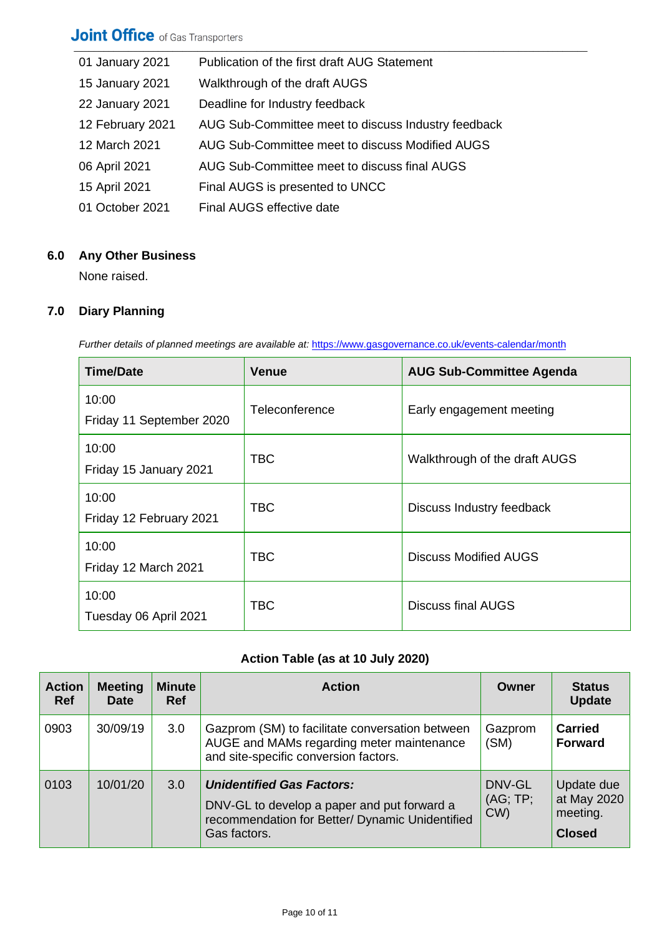| 01 January 2021  | Publication of the first draft AUG Statement        |
|------------------|-----------------------------------------------------|
| 15 January 2021  | Walkthrough of the draft AUGS                       |
| 22 January 2021  | Deadline for Industry feedback                      |
| 12 February 2021 | AUG Sub-Committee meet to discuss Industry feedback |
| 12 March 2021    | AUG Sub-Committee meet to discuss Modified AUGS     |
| 06 April 2021    | AUG Sub-Committee meet to discuss final AUGS        |
| 15 April 2021    | Final AUGS is presented to UNCC                     |
| 01 October 2021  | Final AUGS effective date                           |

# **6.0 Any Other Business**

None raised.

# **7.0 Diary Planning**

*Further details of planned meetings are available at:* <https://www.gasgovernance.co.uk/events-calendar/month>

| <b>Time/Date</b>                  | <b>Venue</b>                                | <b>AUG Sub-Committee Agenda</b> |
|-----------------------------------|---------------------------------------------|---------------------------------|
| 10:00<br>Friday 11 September 2020 | Teleconference                              | Early engagement meeting        |
| 10:00<br>Friday 15 January 2021   | <b>TBC</b><br>Walkthrough of the draft AUGS |                                 |
| 10:00<br>Friday 12 February 2021  | <b>TBC</b>                                  | Discuss Industry feedback       |
| 10:00<br>Friday 12 March 2021     | TBC                                         | Discuss Modified AUGS           |
| 10:00<br>Tuesday 06 April 2021    | <b>TBC</b>                                  | <b>Discuss final AUGS</b>       |

# **Action Table (as at 10 July 2020)**

| <b>Action</b><br><b>Ref</b> | <b>Meeting</b><br><b>Date</b> | <b>Minute</b><br><b>Ref</b> | <b>Action</b>                                                                                                                                      | Owner                    | <b>Status</b><br><b>Update</b>                         |
|-----------------------------|-------------------------------|-----------------------------|----------------------------------------------------------------------------------------------------------------------------------------------------|--------------------------|--------------------------------------------------------|
| 0903                        | 30/09/19                      | 3.0                         | Gazprom (SM) to facilitate conversation between<br>AUGE and MAMs regarding meter maintenance<br>and site-specific conversion factors.              | Gazprom<br>(SM)          | <b>Carried</b><br><b>Forward</b>                       |
| 0103                        | 10/01/20                      | 3.0                         | <b>Unidentified Gas Factors:</b><br>DNV-GL to develop a paper and put forward a<br>recommendation for Better/ Dynamic Unidentified<br>Gas factors. | DNV-GL<br>(AG; TP;<br>CW | Update due<br>at May 2020<br>meeting.<br><b>Closed</b> |